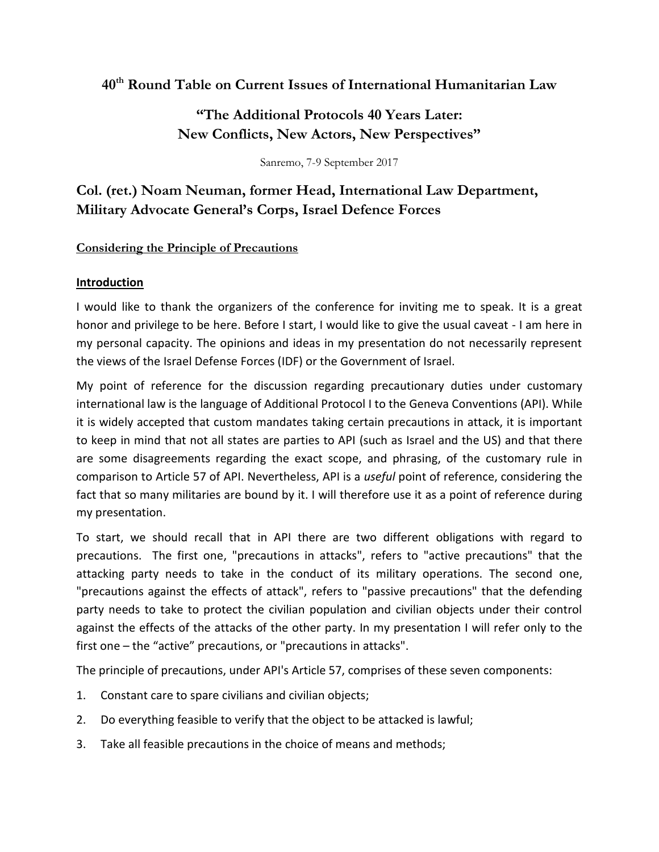# **40th Round Table on Current Issues of International Humanitarian Law**

## **"The Additional Protocols 40 Years Later: New Conflicts, New Actors, New Perspectives"**

Sanremo, 7-9 September 2017

## **Col. (ret.) Noam Neuman, former Head, International Law Department, Military Advocate General's Corps, Israel Defence Forces**

#### **Considering the Principle of Precautions**

## **Introduction**

I would like to thank the organizers of the conference for inviting me to speak. It is a great honor and privilege to be here. Before I start, I would like to give the usual caveat - I am here in my personal capacity. The opinions and ideas in my presentation do not necessarily represent the views of the Israel Defense Forces (IDF) or the Government of Israel.

My point of reference for the discussion regarding precautionary duties under customary international law is the language of Additional Protocol I to the Geneva Conventions (API). While it is widely accepted that custom mandates taking certain precautions in attack, it is important to keep in mind that not all states are parties to API (such as Israel and the US) and that there are some disagreements regarding the exact scope, and phrasing, of the customary rule in comparison to Article 57 of API. Nevertheless, API is a *useful* point of reference, considering the fact that so many militaries are bound by it. I will therefore use it as a point of reference during my presentation.

To start, we should recall that in API there are two different obligations with regard to precautions. The first one, "precautions in attacks", refers to "active precautions" that the attacking party needs to take in the conduct of its military operations. The second one, "precautions against the effects of attack", refers to "passive precautions" that the defending party needs to take to protect the civilian population and civilian objects under their control against the effects of the attacks of the other party. In my presentation I will refer only to the first one – the "active" precautions, or "precautions in attacks".

The principle of precautions, under API's Article 57, comprises of these seven components:

- 1. Constant care to spare civilians and civilian objects;
- 2. Do everything feasible to verify that the object to be attacked is lawful;
- 3. Take all feasible precautions in the choice of means and methods;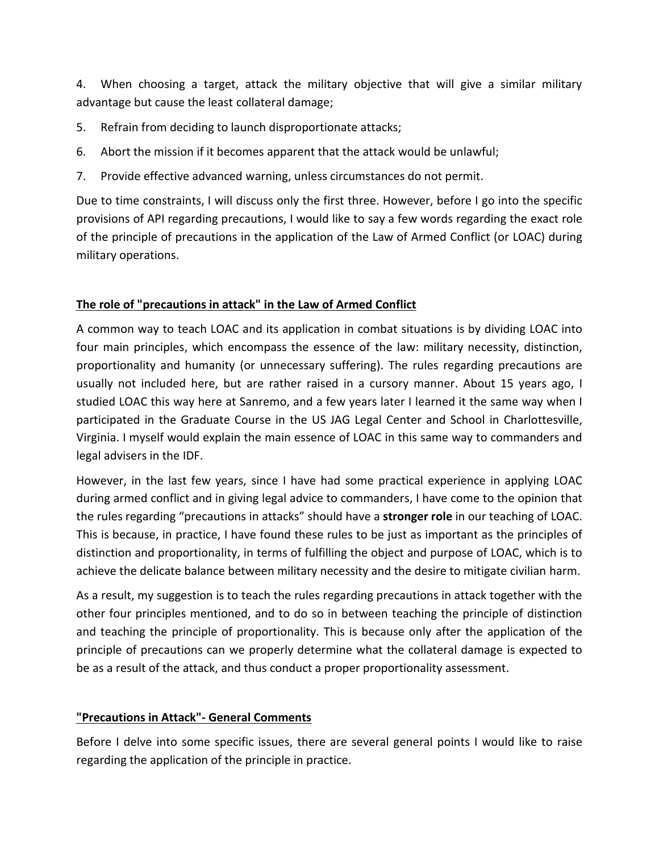4. When choosing a target, attack the military objective that will give a similar military advantage but cause the least collateral damage;

- 5. Refrain from deciding to launch disproportionate attacks;
- 6. Abort the mission if it becomes apparent that the attack would be unlawful;
- 7. Provide effective advanced warning, unless circumstances do not permit.

Due to time constraints, I will discuss only the first three. However, before I go into the specific provisions of API regarding precautions, I would like to say a few words regarding the exact role of the principle of precautions in the application of the Law of Armed Conflict (or LOAC) during military operations.

## **The role of "precautions in attack" in the Law of Armed Conflict**

A common way to teach LOAC and its application in combat situations is by dividing LOAC into four main principles, which encompass the essence of the law: military necessity, distinction, proportionality and humanity (or unnecessary suffering). The rules regarding precautions are usually not included here, but are rather raised in a cursory manner. About 15 years ago, I studied LOAC this way here at Sanremo, and a few years later I learned it the same way when I participated in the Graduate Course in the US JAG Legal Center and School in Charlottesville, Virginia. I myself would explain the main essence of LOAC in this same way to commanders and legal advisers in the IDF.

However, in the last few years, since I have had some practical experience in applying LOAC during armed conflict and in giving legal advice to commanders, I have come to the opinion that the rules regarding "precautions in attacks" should have a **stronger role** in our teaching of LOAC. This is because, in practice, I have found these rules to be just as important as the principles of distinction and proportionality, in terms of fulfilling the object and purpose of LOAC, which is to achieve the delicate balance between military necessity and the desire to mitigate civilian harm.

As a result, my suggestion is to teach the rules regarding precautions in attack together with the other four principles mentioned, and to do so in between teaching the principle of distinction and teaching the principle of proportionality. This is because only after the application of the principle of precautions can we properly determine what the collateral damage is expected to be as a result of the attack, and thus conduct a proper proportionality assessment.

## **"Precautions in Attack"- General Comments**

Before I delve into some specific issues, there are several general points I would like to raise regarding the application of the principle in practice.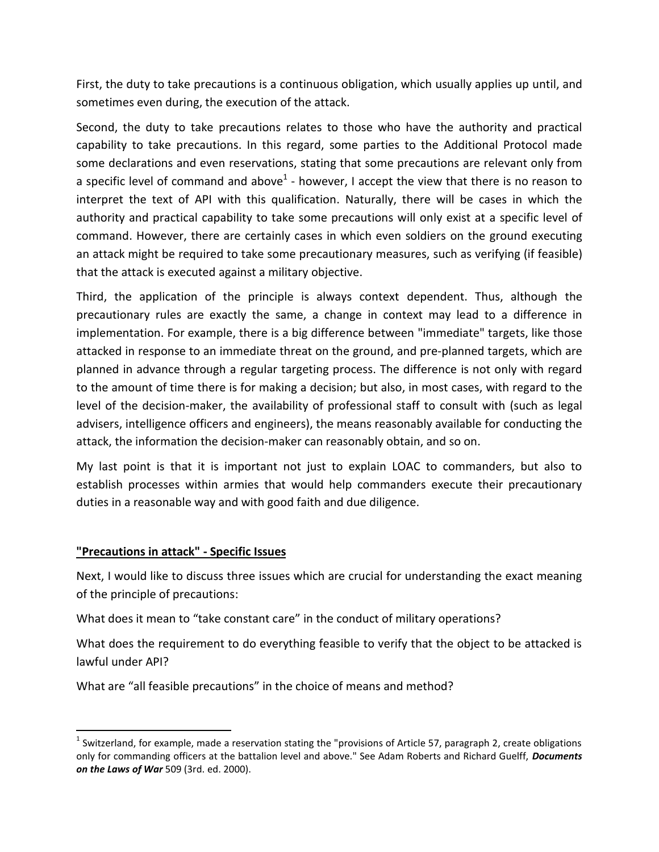First, the duty to take precautions is a continuous obligation, which usually applies up until, and sometimes even during, the execution of the attack.

Second, the duty to take precautions relates to those who have the authority and practical capability to take precautions. In this regard, some parties to the Additional Protocol made some declarations and even reservations, stating that some precautions are relevant only from a specific level of command and above<sup>1</sup> - however, I accept the view that there is no reason to interpret the text of API with this qualification. Naturally, there will be cases in which the authority and practical capability to take some precautions will only exist at a specific level of command. However, there are certainly cases in which even soldiers on the ground executing an attack might be required to take some precautionary measures, such as verifying (if feasible) that the attack is executed against a military objective.

Third, the application of the principle is always context dependent. Thus, although the precautionary rules are exactly the same, a change in context may lead to a difference in implementation. For example, there is a big difference between "immediate" targets, like those attacked in response to an immediate threat on the ground, and pre-planned targets, which are planned in advance through a regular targeting process. The difference is not only with regard to the amount of time there is for making a decision; but also, in most cases, with regard to the level of the decision-maker, the availability of professional staff to consult with (such as legal advisers, intelligence officers and engineers), the means reasonably available for conducting the attack, the information the decision-maker can reasonably obtain, and so on.

My last point is that it is important not just to explain LOAC to commanders, but also to establish processes within armies that would help commanders execute their precautionary duties in a reasonable way and with good faith and due diligence.

#### **"Precautions in attack" - Specific Issues**

 $\overline{\phantom{a}}$ 

Next, I would like to discuss three issues which are crucial for understanding the exact meaning of the principle of precautions:

What does it mean to "take constant care" in the conduct of military operations?

What does the requirement to do everything feasible to verify that the object to be attacked is lawful under API?

What are "all feasible precautions" in the choice of means and method?

<sup>&</sup>lt;sup>1</sup> Switzerland, for example, made a reservation stating the "provisions of Article 57, paragraph 2, create obligations only for commanding officers at the battalion level and above." See Adam Roberts and Richard Guelff, *Documents on the Laws of War* 509 (3rd. ed. 2000).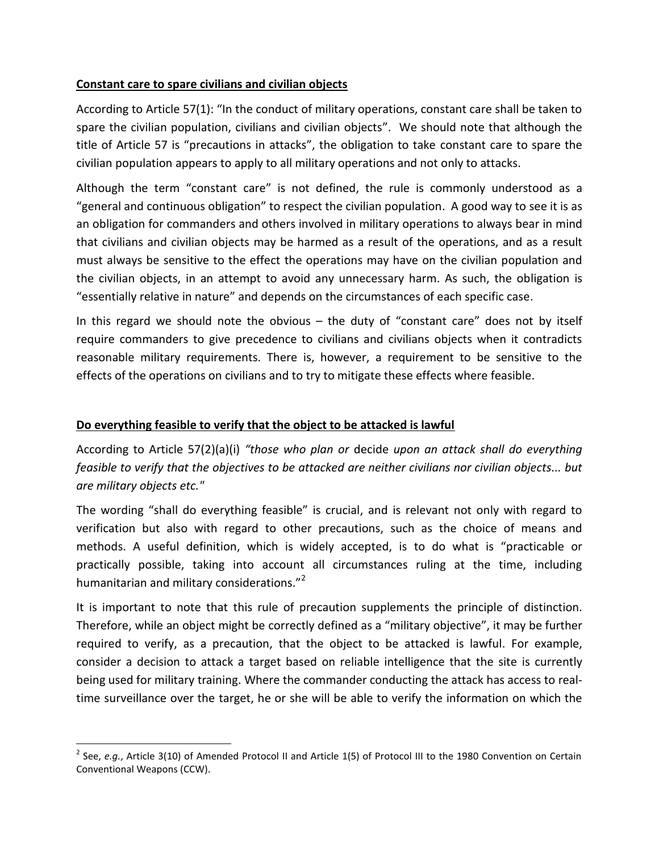#### **Constant care to spare civilians and civilian objects**

According to Article 57(1): "In the conduct of military operations, constant care shall be taken to spare the civilian population, civilians and civilian objects". We should note that although the title of Article 57 is "precautions in attacks", the obligation to take constant care to spare the civilian population appears to apply to all military operations and not only to attacks.

Although the term "constant care" is not defined, the rule is commonly understood as a "general and continuous obligation" to respect the civilian population. A good way to see it is as an obligation for commanders and others involved in military operations to always bear in mind that civilians and civilian objects may be harmed as a result of the operations, and as a result must always be sensitive to the effect the operations may have on the civilian population and the civilian objects, in an attempt to avoid any unnecessary harm. As such, the obligation is "essentially relative in nature" and depends on the circumstances of each specific case.

In this regard we should note the obvious – the duty of "constant care" does not by itself require commanders to give precedence to civilians and civilians objects when it contradicts reasonable military requirements. There is, however, a requirement to be sensitive to the effects of the operations on civilians and to try to mitigate these effects where feasible.

### **Do everything feasible to verify that the object to be attacked is lawful**

 $\overline{a}$ 

According to Article 57(2)(a)(i) *"those who plan or* decide *upon an attack shall do everything feasible to verify that the objectives to be attacked are neither civilians nor civilian objects... but are military objects etc."*

The wording "shall do everything feasible" is crucial, and is relevant not only with regard to verification but also with regard to other precautions, such as the choice of means and methods. A useful definition, which is widely accepted, is to do what is "practicable or practically possible, taking into account all circumstances ruling at the time, including humanitarian and military considerations."<sup>2</sup>

It is important to note that this rule of precaution supplements the principle of distinction. Therefore, while an object might be correctly defined as a "military objective", it may be further required to verify, as a precaution, that the object to be attacked is lawful. For example, consider a decision to attack a target based on reliable intelligence that the site is currently being used for military training. Where the commander conducting the attack has access to realtime surveillance over the target, he or she will be able to verify the information on which the

<sup>2</sup> See, *e.g.*, Article 3(10) of Amended Protocol II and Article 1(5) of Protocol III to the 1980 Convention on Certain Conventional Weapons (CCW).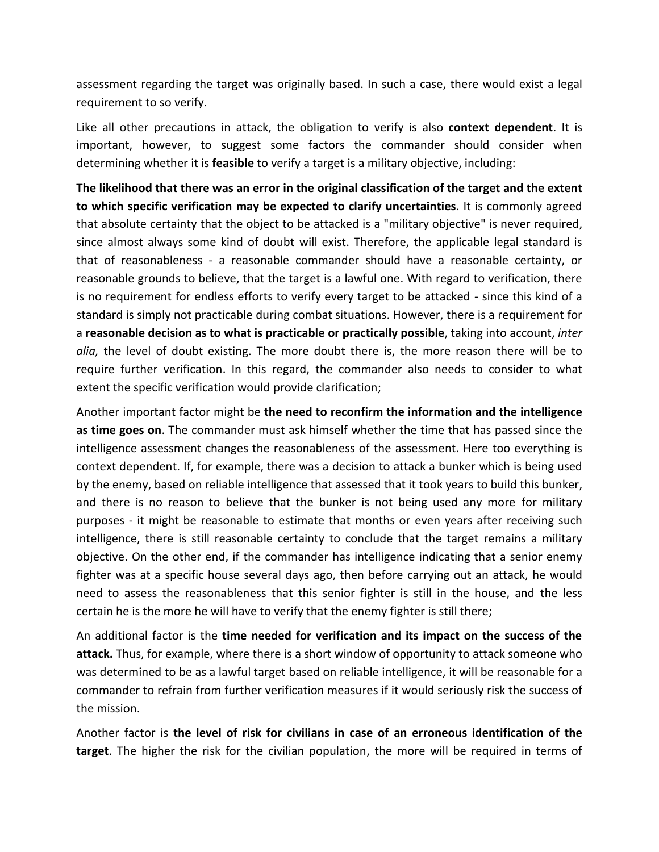assessment regarding the target was originally based. In such a case, there would exist a legal requirement to so verify.

Like all other precautions in attack, the obligation to verify is also **context dependent**. It is important, however, to suggest some factors the commander should consider when determining whether it is **feasible** to verify a target is a military objective, including:

**The likelihood that there was an error in the original classification of the target and the extent to which specific verification may be expected to clarify uncertainties**. It is commonly agreed that absolute certainty that the object to be attacked is a "military objective" is never required, since almost always some kind of doubt will exist. Therefore, the applicable legal standard is that of reasonableness - a reasonable commander should have a reasonable certainty, or reasonable grounds to believe, that the target is a lawful one. With regard to verification, there is no requirement for endless efforts to verify every target to be attacked - since this kind of a standard is simply not practicable during combat situations. However, there is a requirement for a **reasonable decision as to what is practicable or practically possible**, taking into account, *inter alia,* the level of doubt existing. The more doubt there is, the more reason there will be to require further verification. In this regard, the commander also needs to consider to what extent the specific verification would provide clarification;

Another important factor might be **the need to reconfirm the information and the intelligence as time goes on**. The commander must ask himself whether the time that has passed since the intelligence assessment changes the reasonableness of the assessment. Here too everything is context dependent. If, for example, there was a decision to attack a bunker which is being used by the enemy, based on reliable intelligence that assessed that it took years to build this bunker, and there is no reason to believe that the bunker is not being used any more for military purposes - it might be reasonable to estimate that months or even years after receiving such intelligence, there is still reasonable certainty to conclude that the target remains a military objective. On the other end, if the commander has intelligence indicating that a senior enemy fighter was at a specific house several days ago, then before carrying out an attack, he would need to assess the reasonableness that this senior fighter is still in the house, and the less certain he is the more he will have to verify that the enemy fighter is still there;

An additional factor is the **time needed for verification and its impact on the success of the attack.** Thus, for example, where there is a short window of opportunity to attack someone who was determined to be as a lawful target based on reliable intelligence, it will be reasonable for a commander to refrain from further verification measures if it would seriously risk the success of the mission.

Another factor is **the level of risk for civilians in case of an erroneous identification of the target**. The higher the risk for the civilian population, the more will be required in terms of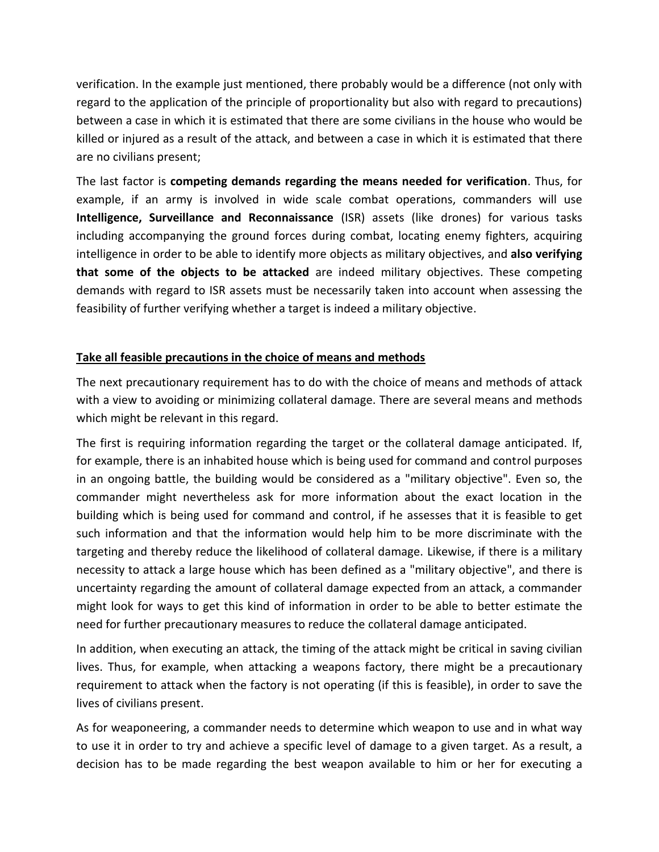verification. In the example just mentioned, there probably would be a difference (not only with regard to the application of the principle of proportionality but also with regard to precautions) between a case in which it is estimated that there are some civilians in the house who would be killed or injured as a result of the attack, and between a case in which it is estimated that there are no civilians present;

The last factor is **competing demands regarding the means needed for verification**. Thus, for example, if an army is involved in wide scale combat operations, commanders will use **Intelligence, Surveillance and Reconnaissance** (ISR) assets (like drones) for various tasks including accompanying the ground forces during combat, locating enemy fighters, acquiring intelligence in order to be able to identify more objects as military objectives, and **also verifying that some of the objects to be attacked** are indeed military objectives. These competing demands with regard to ISR assets must be necessarily taken into account when assessing the feasibility of further verifying whether a target is indeed a military objective.

## **Take all feasible precautions in the choice of means and methods**

The next precautionary requirement has to do with the choice of means and methods of attack with a view to avoiding or minimizing collateral damage. There are several means and methods which might be relevant in this regard.

The first is requiring information regarding the target or the collateral damage anticipated. If, for example, there is an inhabited house which is being used for command and control purposes in an ongoing battle, the building would be considered as a "military objective". Even so, the commander might nevertheless ask for more information about the exact location in the building which is being used for command and control, if he assesses that it is feasible to get such information and that the information would help him to be more discriminate with the targeting and thereby reduce the likelihood of collateral damage. Likewise, if there is a military necessity to attack a large house which has been defined as a "military objective", and there is uncertainty regarding the amount of collateral damage expected from an attack, a commander might look for ways to get this kind of information in order to be able to better estimate the need for further precautionary measures to reduce the collateral damage anticipated.

In addition, when executing an attack, the timing of the attack might be critical in saving civilian lives. Thus, for example, when attacking a weapons factory, there might be a precautionary requirement to attack when the factory is not operating (if this is feasible), in order to save the lives of civilians present.

As for weaponeering, a commander needs to determine which weapon to use and in what way to use it in order to try and achieve a specific level of damage to a given target. As a result, a decision has to be made regarding the best weapon available to him or her for executing a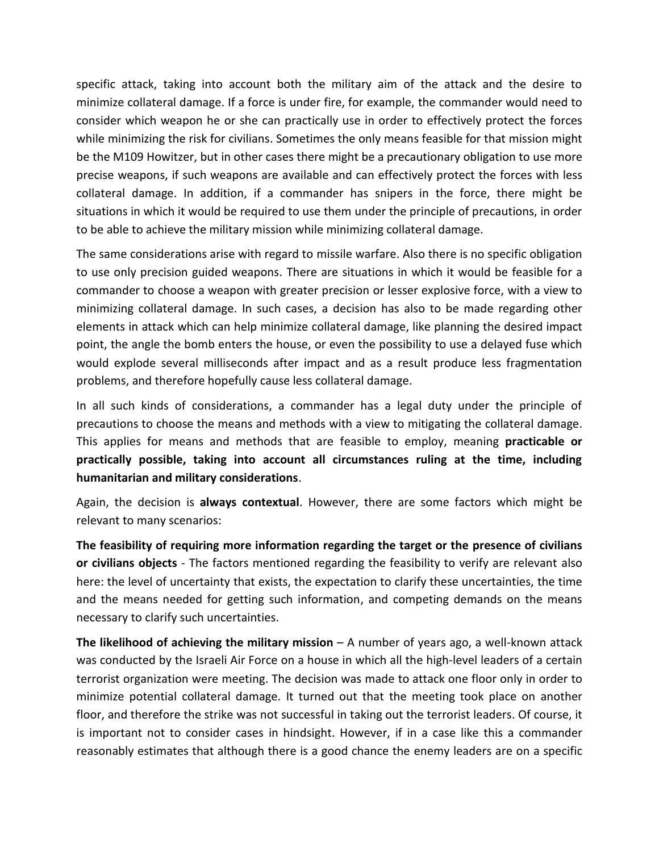specific attack, taking into account both the military aim of the attack and the desire to minimize collateral damage. If a force is under fire, for example, the commander would need to consider which weapon he or she can practically use in order to effectively protect the forces while minimizing the risk for civilians. Sometimes the only means feasible for that mission might be the M109 Howitzer, but in other cases there might be a precautionary obligation to use more precise weapons, if such weapons are available and can effectively protect the forces with less collateral damage. In addition, if a commander has snipers in the force, there might be situations in which it would be required to use them under the principle of precautions, in order to be able to achieve the military mission while minimizing collateral damage.

The same considerations arise with regard to missile warfare. Also there is no specific obligation to use only precision guided weapons. There are situations in which it would be feasible for a commander to choose a weapon with greater precision or lesser explosive force, with a view to minimizing collateral damage. In such cases, a decision has also to be made regarding other elements in attack which can help minimize collateral damage, like planning the desired impact point, the angle the bomb enters the house, or even the possibility to use a delayed fuse which would explode several milliseconds after impact and as a result produce less fragmentation problems, and therefore hopefully cause less collateral damage.

In all such kinds of considerations, a commander has a legal duty under the principle of precautions to choose the means and methods with a view to mitigating the collateral damage. This applies for means and methods that are feasible to employ, meaning **practicable or practically possible, taking into account all circumstances ruling at the time, including humanitarian and military considerations**.

Again, the decision is **always contextual**. However, there are some factors which might be relevant to many scenarios:

**The feasibility of requiring more information regarding the target or the presence of civilians or civilians objects** - The factors mentioned regarding the feasibility to verify are relevant also here: the level of uncertainty that exists, the expectation to clarify these uncertainties, the time and the means needed for getting such information, and competing demands on the means necessary to clarify such uncertainties.

**The likelihood of achieving the military mission** – A number of years ago, a well-known attack was conducted by the Israeli Air Force on a house in which all the high-level leaders of a certain terrorist organization were meeting. The decision was made to attack one floor only in order to minimize potential collateral damage. It turned out that the meeting took place on another floor, and therefore the strike was not successful in taking out the terrorist leaders. Of course, it is important not to consider cases in hindsight. However, if in a case like this a commander reasonably estimates that although there is a good chance the enemy leaders are on a specific